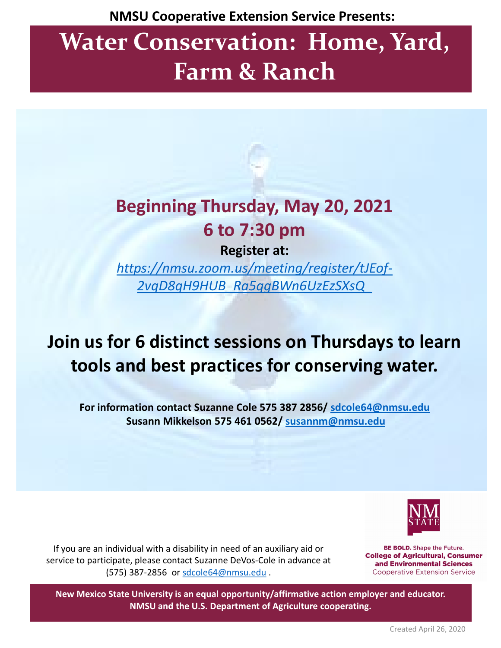**NMSU Cooperative Extension Service Presents:** 

# **Water Conservation: Home, Yard, Farm & Ranch**

## **Beginning Thursday, May 20, 2021 6 to 7:30 pm**

**Register at:**

*[https://nmsu.zoom.us/meeting/register/tJEof-](https://nam10.safelinks.protection.outlook.com/?url=https%3A%2F%2Fnmsu.zoom.us%2Fmeeting%2Fregister%2FtJEof-2vqD8qH9HUB_Ra5qgBWn6UzEzSXsQ_&data=04%7C01%7Csdcole64%40nmsu.edu%7C965f4026ea3a4d67c70a08d913f144d0%7Ca3ec87a89fb84158ba8ff11bace1ebaa%7C1%7C0%7C637562749219218446%7CUnknown%7CTWFpbGZsb3d8eyJWIjoiMC4wLjAwMDAiLCJQIjoiV2luMzIiLCJBTiI6Ik1haWwiLCJXVCI6Mn0%3D%7C1000&sdata=NHRMOwf37Pagt0E9jroBPkPDUoXorqyB7nNW7f8EReA%3D&reserved=0)2vqD8qH9HUB\_Ra5qgBWn6UzEzSXsQ\_*

### **Join us for 6 distinct sessions on Thursdays to learn tools and best practices for conserving water.**

**For information contact Suzanne Cole 575 387 2856/ [sdcole64@nmsu.edu](mailto:sdcole64@nmsu.edu) Susann Mikkelson 575 461 0562/ [susannm@nmsu.edu](mailto:susannm@nmsu.edu)**



If you are an individual with a disability in need of an auxiliary aid or service to participate, please contact Suzanne DeVos-Cole in advance at (575) 387-2856 or [sdcole64@nmsu.edu](mailto:sdcole64@nmsu.edu) .

**BE BOLD.** Shape the Future. **College of Agricultural, Consumer** and Environmental Sciences **Cooperative Extension Service** 

**New Mexico State University is an equal opportunity/affirmative action employer and educator. NMSU and the U.S. Department of Agriculture cooperating.**